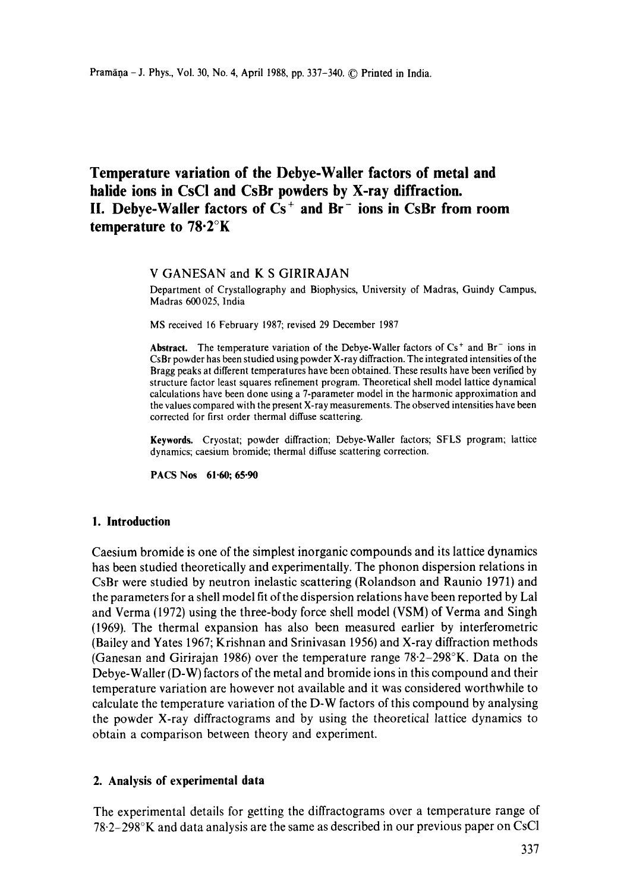# **Temperature variation of the Dehye-Wailer factors of metal and halide ions in CsC! and CsBr powders by X-ray diffraction.**  II. Debye-Waller factors of Cs<sup>+</sup> and Br<sup>-</sup> ions in CsBr from room **temperature to 78.2°K**

## V GANESAN and K S GIRIRAJAN

Department of Crystallography and Biophysics, University of Madras, Guindy Campus, Madras 600025, India

MS received 16 February 1987; revised 29 December 1987

**Abstract.** The temperature variation of the Debye-Waller factors of  $Cs<sup>+</sup>$  and  $Br<sup>-</sup>$  ions in CsBr powder has been studied using powder X-ray diffraction. The integrated intensities of the Bragg peaks at different temperatures have been obtained. These results have been verified by structure factor least squares refinement program. Theoretical shell model lattice dynamical calculations have been done using a 7-parameter model in the harmonic approximation and the values compared with the present X-ray measurements. The observed intensities have been corrected for first order thermal diffuse scattering.

**Keywords.** Cryostat; powder diffraction; Debye-Waller factors; SFLS program; lattice dynamics; caesium bromide; thermal diffuse scattering correction.

**PACS Nos 61"60; 65.90** 

#### **1. Introduction**

Caesium bromide is one of the simplest inorganic compounds and its lattice dynamics has been studied theoretically and experimentally. The phonon dispersion relations in CsBr were studied by neutron inelastic scattering (Rolandson and Raunio 1971) and the parameters for a shell model fit of the dispersion relations have been reported by Lal and Verma (1972) using the three-body force shell model (VSM) of Verma and Singh (1969). The thermal expansion has also been measured earlier by interferometric (Bailey and Yates 1967; Krishnan and Srinivasan 1956) and X-ray diffraction methods (Ganesan and Girirajan 1986) over the temperature range 78"2-298°K. Data on the Debye-Waller (D-W) factors of the metal and bromide ions in this compound and their temperature variation are however not available and it was considered worthwhile to calculate the temperature variation of the D-W factors of this compound by analysing the powder X-ray diffractograms and by using the theoretical lattice dynamics to obtain a comparison between theory and experiment.

### **2. Analysis of experimental data**

The experimental details for getting the diffractograms over a temperature range of 78.2-298°K and data analysis are the same as described in our previous paper on CsC1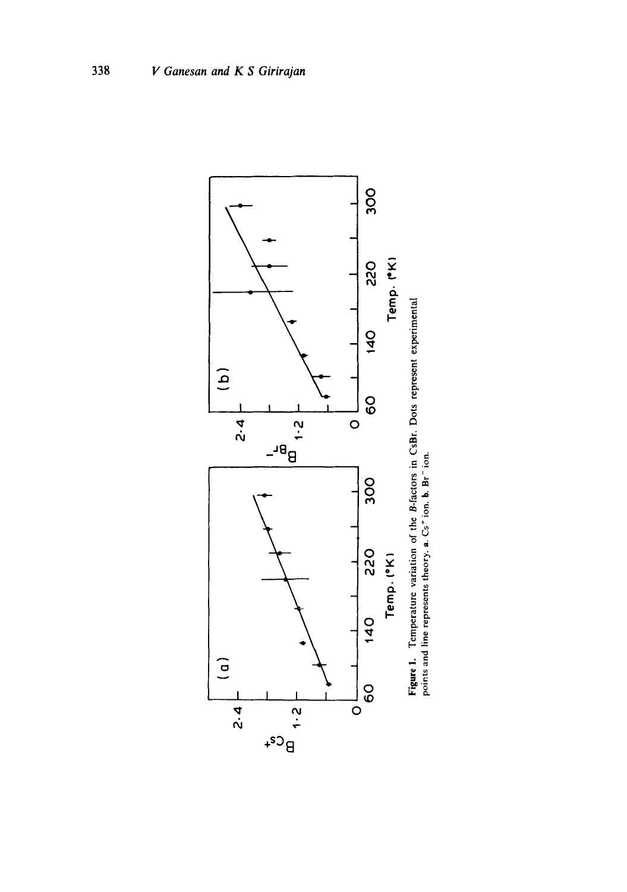

**Figure 1.** Temperature variation of the B-factors in CsBr. Dots represent experimental points and line represents theory.  $a$ . Cs<sup>+</sup> ion. b. Br<sup>-</sup> ion.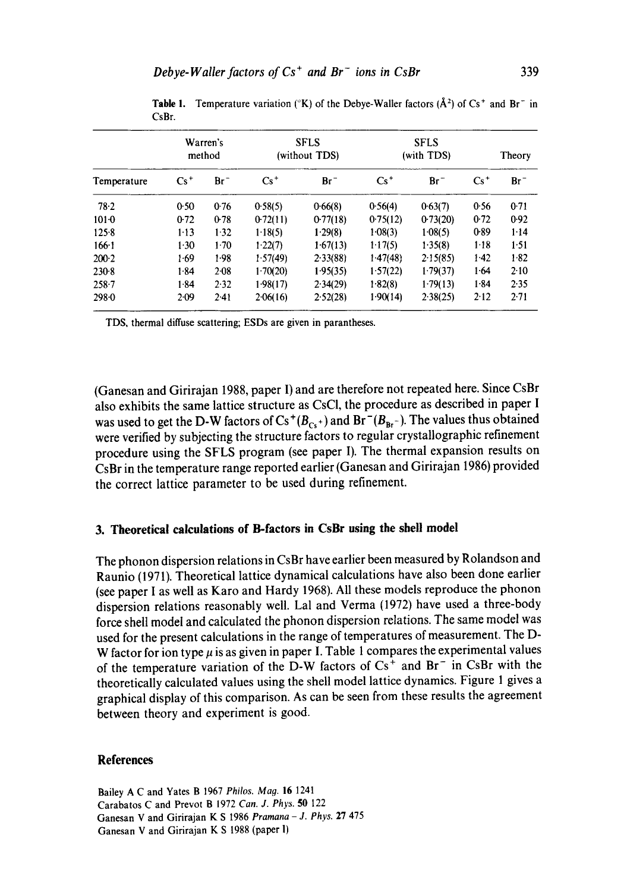| Temperature | Warren's<br>method |           | <b>SFLS</b><br>(without TDS) |          | <b>SFLS</b><br>(with TDS) |          |          | Theory   |
|-------------|--------------------|-----------|------------------------------|----------|---------------------------|----------|----------|----------|
|             | $Cs^+$             | $Br^-$    | $Cs^+$                       | $Br^-$   | $Cs^+$                    | $Br^-$   | $Cs^+$   | $Br^-$   |
| 78.2        | 0.50               | 0.76      | 0.58(5)                      | 0.66(8)  | 0.56(4)                   | 0.63(7)  | 0.56     | 0.71     |
| $101 - 0$   | 0.72               | 0.78      | 0.72(11)                     | 0.77(18) | 0.75(12)                  | 0.73(20) | 0.72     | 0.92     |
| $125 - 8$   | $1-13$             | 1.32      | 1.18(5)                      | 1.29(8)  | 1.08(3)                   | 1.08(5)  | 0.89     | $1 - 14$ |
| $166 - 1$   | 1.30               | $1-70$    | 1.22(7)                      | 1.67(13) | 1.17(5)                   | 1.35(8)  | $1-18$   | 1.51     |
| $200-2$     | 1.69               | $1-98$    | 1.57(49)                     | 2.33(88) | 1.47(48)                  | 2.15(85) | $1-42$   | 1.82     |
| $230-8$     | 1.84               | $2 - 0.8$ | 1.70(20)                     | 1.95(35) | 1.57(22)                  | 1.79(37) | 1.64     | $2-10$   |
| $258 - 7$   | 1.84               | 2.32      | 1.98(17)                     | 2.34(29) | 1.82(8)                   | 1.79(13) | $1 - 84$ | 2.35     |
| 298.0       | $2-09$             | $2-41$    | 2.06(16)                     | 2.52(28) | 1.90(14)                  | 2.38(25) | $2 - 12$ | 2.71     |

**Table 1.** Temperature variation ( ${}^{\circ}\text{K}$ ) of the Debye-Waller factors ( $\AA$ <sup>2</sup>) of Cs<sup>+</sup> and Br<sup>-</sup> in CsBr.

TDS, thermal diffuse scattering; ESDs are given in parantheses.

(Ganesan and Girirajan 1988, paper I) and are therefore not repeated here. Since CsBr also exhibits the same lattice structure as CsCI, the procedure as described in paper I was used to get the D-W factors of  $Cs^+(B_{Cs^+})$  and  $Br^-(B_{Br^-})$ . The values thus obtained were verified by subjecting the structure factors to regular crystallographic refinement procedure using the SFLS program (see paper I). The thermal expansion results on CsBr in the temperature range reported earlier (Ganesan and Girirajan 1986) provided the correct lattice parameter to be used during refinement.

#### **3. Theoretical calculations of B-factors in CsBr using the shell model**

The phonon dispersion relations in CsBr have earlier been measured by Rolandson and Raunio (1971). Theoretical lattice dynamical calculations have also been done earlier (see paper I as well as Karo and Hardy 1968). All these models reproduce the phonon dispersion relations reasonably well. Lal and Verma (1972) have used a three-body force shell model and calculated the phonon dispersion relations. The same model was used for the present calculations in the range of temperatures of measurement. The D-W factor for ion type  $\mu$  is as given in paper I. Table 1 compares the experimental values of the temperature variation of the D-W factors of  $Cs<sup>+</sup>$  and  $Br<sup>-</sup>$  in CsBr with the theoretically calculated values using the shell model lattice dynamics. Figure 1 gives a graphical display of this comparison. As can be seen from these results the agreement between theory and experiment is good.

#### **References**

Bailey A C and Yates B 1967 *Philos. Mao.* 16 1241 Carabatos C and Prevot B 1972 *Can. J. Phys.* 50 122 Ganesan V and Girirajan K S 1986 *Pramana - J. Phys.* 27 475 Ganesan V and Girirajan K S 1988 (paper I)